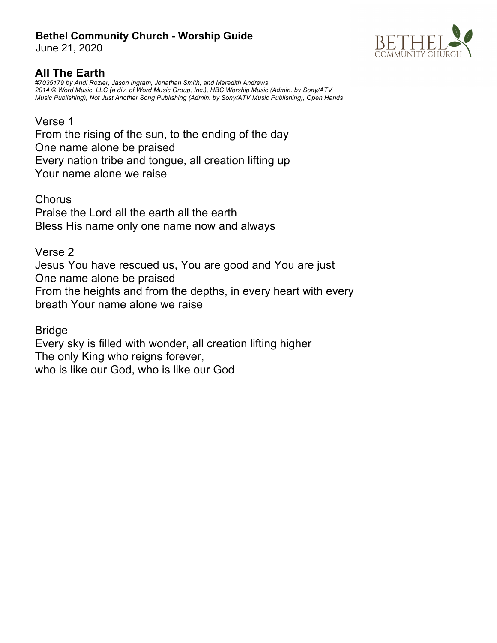June 21, 2020



# **All The Earth**

*#7035179 by Andi Rozier, Jason Ingram, Jonathan Smith, and Meredith Andrews 2014 © Word Music, LLC (a div. of Word Music Group, Inc.), HBC Worship Music (Admin. by Sony/ATV Music Publishing), Not Just Another Song Publishing (Admin. by Sony/ATV Music Publishing), Open Hands*

## Verse 1

From the rising of the sun, to the ending of the day One name alone be praised Every nation tribe and tongue, all creation lifting up Your name alone we raise

**Chorus** Praise the Lord all the earth all the earth Bless His name only one name now and always

## Verse 2

Jesus You have rescued us, You are good and You are just One name alone be praised From the heights and from the depths, in every heart with every breath Your name alone we raise

Bridge

Every sky is filled with wonder, all creation lifting higher The only King who reigns forever, who is like our God, who is like our God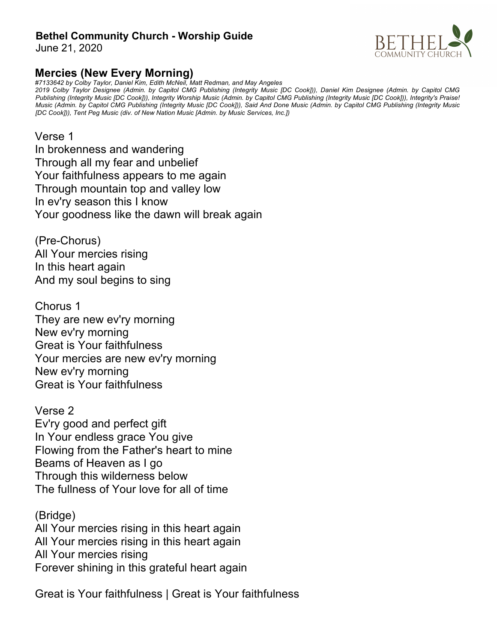June 21, 2020

# **Mercies (New Every Morning)**

*#7133642 by Colby Taylor, Daniel Kim, Edith McNeil, Matt Redman, and May Angeles*

*2019 Colby Taylor Designee (Admin. by Capitol CMG Publishing (Integrity Music [DC Cook])), Daniel Kim Designee (Admin. by Capitol CMG Publishing (Integrity Music [DC Cook])), Integrity Worship Music (Admin. by Capitol CMG Publishing (Integrity Music [DC Cook])), Integrity's Praise! Music (Admin. by Capitol CMG Publishing (Integrity Music [DC Cook])), Said And Done Music (Admin. by Capitol CMG Publishing (Integrity Music [DC Cook])), Tent Peg Music (div. of New Nation Music [Admin. by Music Services, Inc.])*

## Verse 1

In brokenness and wandering Through all my fear and unbelief Your faithfulness appears to me again Through mountain top and valley low In ev'ry season this I know Your goodness like the dawn will break again

(Pre-Chorus) All Your mercies rising In this heart again And my soul begins to sing

Chorus 1 They are new ev'ry morning New ev'ry morning Great is Your faithfulness Your mercies are new ev'ry morning New ev'ry morning Great is Your faithfulness

Verse 2 Ev'ry good and perfect gift In Your endless grace You give Flowing from the Father's heart to mine Beams of Heaven as I go Through this wilderness below The fullness of Your love for all of time

(Bridge) All Your mercies rising in this heart again All Your mercies rising in this heart again All Your mercies rising Forever shining in this grateful heart again

Great is Your faithfulness | Great is Your faithfulness

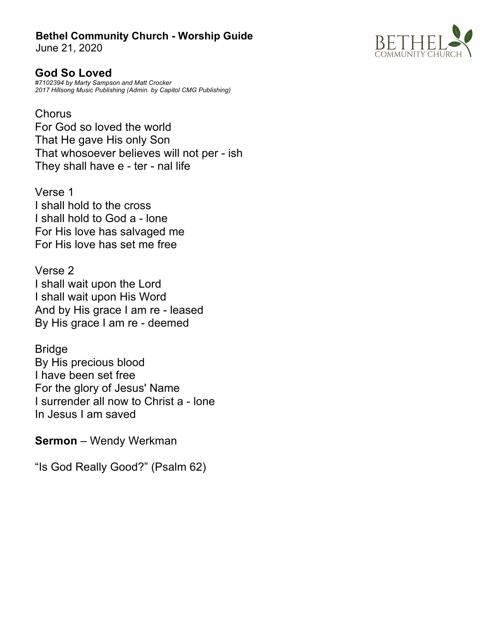June 21, 2020

**God So Loved** *#7102394 by Marty Sampson and Matt Crocker 2017 Hillsong Music Publishing (Admin. by Capitol CMG Publishing)*

**Chorus** For God so loved the world That He gave His only Son That whosoever believes will not per - ish They shall have e - ter - nal life

Verse 1 I shall hold to the cross I shall hold to God a - lone For His love has salvaged me For His love has set me free

Verse 2 I shall wait upon the Lord I shall wait upon His Word And by His grace I am re - leased By His grace I am re - deemed

Bridge By His precious blood I have been set free For the glory of Jesus' Name I surrender all now to Christ a - lone In Jesus I am saved

**Sermon** – Wendy Werkman

"Is God Really Good?" (Psalm 62)